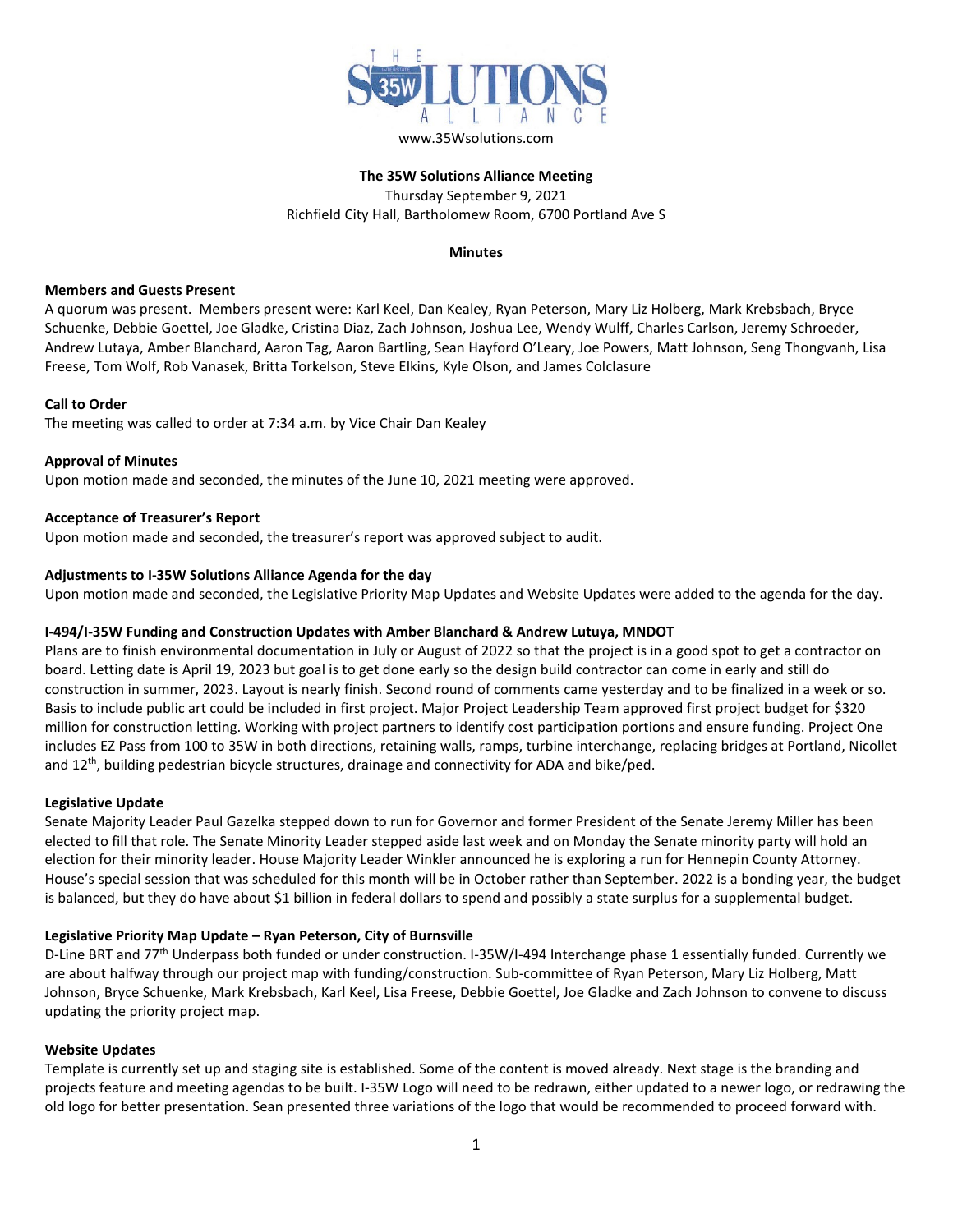

www.35Wsolutions.com

#### **The 35W Solutions Alliance Meeting** Thursday September 9, 2021 Richfield City Hall, Bartholomew Room, 6700 Portland Ave S

#### **Minutes**

#### **Members and Guests Present**

A quorum was present. Members present were: Karl Keel, Dan Kealey, Ryan Peterson, Mary Liz Holberg, Mark Krebsbach, Bryce Schuenke, Debbie Goettel, Joe Gladke, Cristina Diaz, Zach Johnson, Joshua Lee, Wendy Wulff, Charles Carlson, Jeremy Schroeder, Andrew Lutaya, Amber Blanchard, Aaron Tag, Aaron Bartling, Sean Hayford O'Leary, Joe Powers, Matt Johnson, Seng Thongvanh, Lisa Freese, Tom Wolf, Rob Vanasek, Britta Torkelson, Steve Elkins, Kyle Olson, and James Colclasure

# **Call to Order**

The meeting was called to order at 7:34 a.m. by Vice Chair Dan Kealey

# **Approval of Minutes**

Upon motion made and seconded, the minutes of the June 10, 2021 meeting were approved.

# **Acceptance of Treasurer's Report**

Upon motion made and seconded, the treasurer's report was approved subject to audit.

#### **Adjustments to I-35W Solutions Alliance Agenda for the day**

Upon motion made and seconded, the Legislative Priority Map Updates and Website Updates were added to the agenda for the day.

# **I-494/I-35W Funding and Construction Updates with Amber Blanchard & Andrew Lutuya, MNDOT**

Plans are to finish environmental documentation in July or August of 2022 so that the project is in a good spot to get a contractor on board. Letting date is April 19, 2023 but goal is to get done early so the design build contractor can come in early and still do construction in summer, 2023. Layout is nearly finish. Second round of comments came yesterday and to be finalized in a week or so. Basis to include public art could be included in first project. Major Project Leadership Team approved first project budget for \$320 million for construction letting. Working with project partners to identify cost participation portions and ensure funding. Project One includes EZ Pass from 100 to 35W in both directions, retaining walls, ramps, turbine interchange, replacing bridges at Portland, Nicollet and 12th, building pedestrian bicycle structures, drainage and connectivity for ADA and bike/ped.

#### **Legislative Update**

Senate Majority Leader Paul Gazelka stepped down to run for Governor and former President of the Senate Jeremy Miller has been elected to fill that role. The Senate Minority Leader stepped aside last week and on Monday the Senate minority party will hold an election for their minority leader. House Majority Leader Winkler announced he is exploring a run for Hennepin County Attorney. House's special session that was scheduled for this month will be in October rather than September. 2022 is a bonding year, the budget is balanced, but they do have about \$1 billion in federal dollars to spend and possibly a state surplus for a supplemental budget.

# **Legislative Priority Map Update – Ryan Peterson, City of Burnsville**

D-Line BRT and 77<sup>th</sup> Underpass both funded or under construction. I-35W/I-494 Interchange phase 1 essentially funded. Currently we are about halfway through our project map with funding/construction. Sub-committee of Ryan Peterson, Mary Liz Holberg, Matt Johnson, Bryce Schuenke, Mark Krebsbach, Karl Keel, Lisa Freese, Debbie Goettel, Joe Gladke and Zach Johnson to convene to discuss updating the priority project map.

# **Website Updates**

Template is currently set up and staging site is established. Some of the content is moved already. Next stage is the branding and projects feature and meeting agendas to be built. I-35W Logo will need to be redrawn, either updated to a newer logo, or redrawing the old logo for better presentation. Sean presented three variations of the logo that would be recommended to proceed forward with.